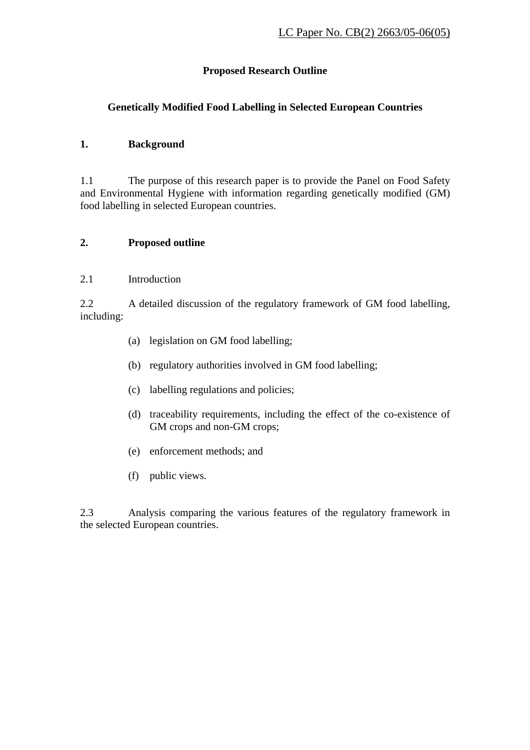# **Proposed Research Outline**

# **Genetically Modified Food Labelling in Selected European Countries**

## **1. Background**

1.1 The purpose of this research paper is to provide the Panel on Food Safety and Environmental Hygiene with information regarding genetically modified (GM) food labelling in selected European countries.

## **2. Proposed outline**

2.1 Introduction

2.2 A detailed discussion of the regulatory framework of GM food labelling, including:

- (a) legislation on GM food labelling;
- (b) regulatory authorities involved in GM food labelling;
- (c) labelling regulations and policies;
- (d) traceability requirements, including the effect of the co-existence of GM crops and non-GM crops;
- (e) enforcement methods; and
- (f) public views.

2.3 Analysis comparing the various features of the regulatory framework in the selected European countries.